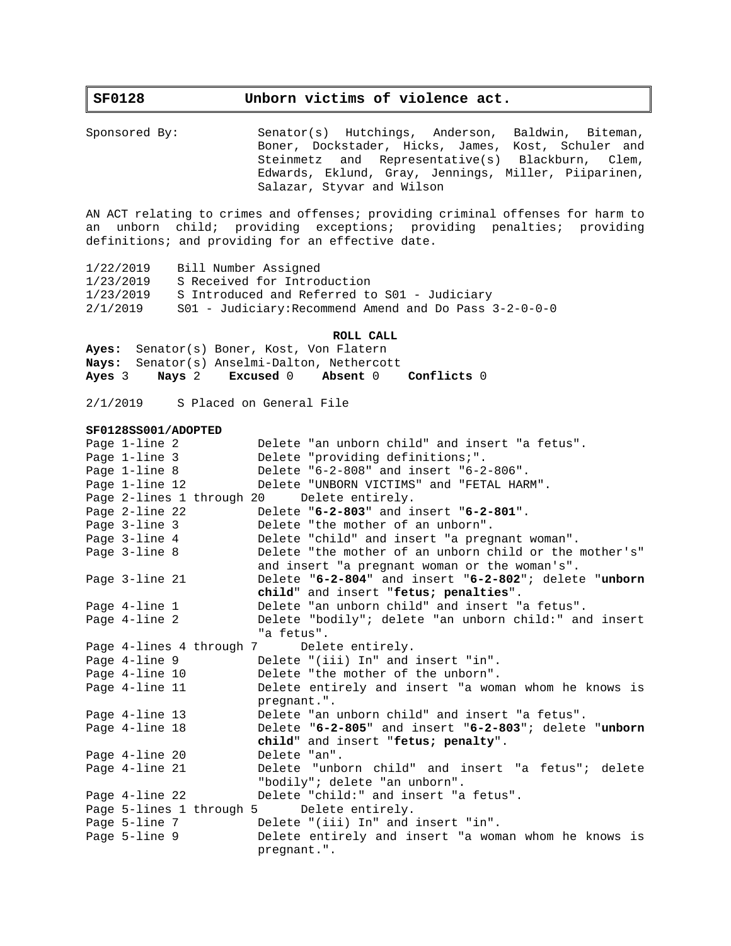# **SF0128 Unborn victims of violence act.**

Sponsored By: Senator(s) Hutchings, Anderson, Baldwin, Biteman, Boner, Dockstader, Hicks, James, Kost, Schuler and Steinmetz and Representative(s) Blackburn, Clem, Edwards, Eklund, Gray, Jennings, Miller, Piiparinen, Salazar, Styvar and Wilson

AN ACT relating to crimes and offenses; providing criminal offenses for harm to an unborn child; providing exceptions; providing penalties; providing definitions; and providing for an effective date.

1/22/2019 Bill Number Assigned 1/23/2019 S Received for Introduction 1/23/2019 S Introduced and Referred to S01 - Judiciary 2/1/2019 S01 - Judiciary:Recommend Amend and Do Pass 3-2-0-0-0

### **ROLL CALL**

**Ayes:** Senator(s) Boner, Kost, Von Flatern **Nays:** Senator(s) Anselmi-Dalton, Nethercott **Ayes** 3 **Nays** 2 **Excused** 0 **Absent** 0 **Conflicts** 0

2/1/2019 S Placed on General File

#### **SF0128SS001/ADOPTED**

| Page 1-line 2  | Delete "an unborn child" and insert "a fetus".         |
|----------------|--------------------------------------------------------|
| Page 1-line 3  | Delete "providing definitions;".                       |
| Page 1-line 8  | Delete "6-2-808" and insert "6-2-806".                 |
| Page 1-line 12 | Delete "UNBORN VICTIMS" and "FETAL HARM".              |
|                | Page 2-lines 1 through 20 Delete entirely.             |
| Page 2-line 22 | Delete "6-2-803" and insert "6-2-801".                 |
| Page 3-line 3  | Delete "the mother of an unborn".                      |
| Page 3-line 4  | Delete "child" and insert "a pregnant woman".          |
| Page 3-line 8  | Delete "the mother of an unborn child or the mother's" |
|                | and insert "a pregnant woman or the woman's".          |
| Page 3-line 21 | Delete "6-2-804" and insert "6-2-802"; delete "unborn  |
|                | child" and insert "fetus; penalties".                  |
| Page 4-line 1  | Delete "an unborn child" and insert "a fetus".         |
| Page 4-line 2  | Delete "bodily"; delete "an unborn child:" and insert  |
|                | "a fetus".                                             |
|                | Page 4-lines 4 through 7<br>Delete entirely.           |
| Page 4-line 9  | Delete "(iii) In" and insert "in".                     |
| Page 4-line 10 | Delete "the mother of the unborn".                     |
| Page 4-line 11 | Delete entirely and insert "a woman whom he knows is   |
|                | pregnant.".                                            |
| Page 4-line 13 | Delete "an unborn child" and insert "a fetus".         |
| Page 4-line 18 | Delete "6-2-805" and insert "6-2-803"; delete "unborn  |
|                | child" and insert "fetus; penalty".                    |
| Page 4-line 20 | Delete "an".                                           |
| Page 4-line 21 | Delete "unborn child" and insert "a fetus"; delete     |
|                | "bodily"; delete "an unborn".                          |
| Page 4-line 22 | Delete "child:" and insert "a fetus".                  |
|                | Page 5-lines 1 through 5 Delete entirely.              |
| Page 5-line 7  | Delete "(iii) In" and insert "in".                     |
| Page 5-line 9  | Delete entirely and insert "a woman whom he knows is   |
|                | pregnant.".                                            |
|                |                                                        |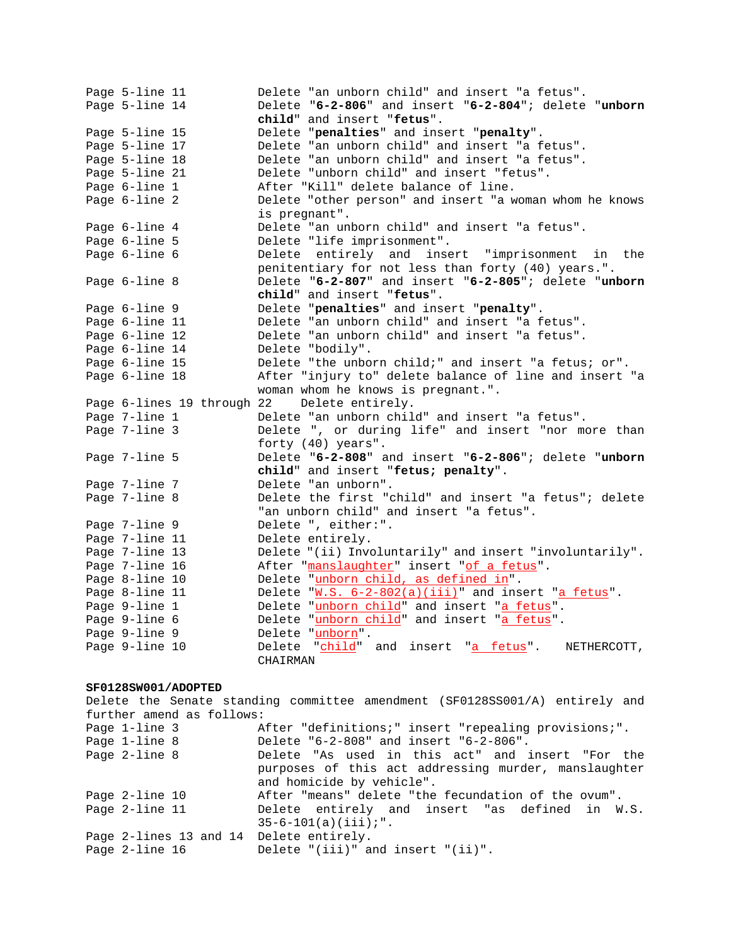Page 5-line 11 Delete "an unborn child" and insert "a fetus". Page 5-line 14 Delete "**6-2-806**" and insert "**6-2-804**"; delete "**unborn child**" and insert "**fetus**". Page 5-line 15 Delete "**penalties**" and insert "**penalty**". Page 5-line 17 Delete "an unborn child" and insert "a fetus". Page 5-line 18 Delete "an unborn child" and insert "a fetus". Page 5-line 21 Delete "unborn child" and insert "fetus". Page 6-line 1 After "Kill" delete balance of line. Page 6-line 2 Delete "other person" and insert "a woman whom he knows is pregnant". Page 6-line 4 Delete "an unborn child" and insert "a fetus". Page 6-line 5 Delete "life imprisonment". Page 6-line 6 Delete entirely and insert "imprisonment in the penitentiary for not less than forty (40) years.". Page 6-line 8 Delete "**6-2-807**" and insert "**6-2-805**"; delete "**unborn child**" and insert "**fetus**". Page 6-line 9 **Delete "penalties**" and insert "**penalty".**<br>Page 6-line 11 Delete "an unborn child" and insert "a f Delete "an unborn child" and insert "a fetus". Page 6-line 12 Delete "an unborn child" and insert "a fetus". Page 6-line 14 Delete "bodily". Page 6-line 15 Delete "the unborn child;" and insert "a fetus; or". Page 6-line 18 After "injury to" delete balance of line and insert "a woman whom he knows is pregnant.". Page 6-lines 19 through 22 Delete entirely. Page 7-line 1 Delete "an unborn child" and insert "a fetus".<br>Page 7-line 3 Delete ", or during life" and insert "nor mo Delete ", or during life" and insert "nor more than forty (40) years". Page 7-line 5 Delete "**6-2-808**" and insert "**6-2-806**"; delete "**unborn child**" and insert "**fetus; penalty**". Page 7-line 7 Delete "an unborn". Page 7-line 8 Delete the first "child" and insert "a fetus"; delete "an unborn child" and insert "a fetus". Page 7-line 9 Delete ", either:". Page 7-line 11 Delete entirely. Page 7-line 13 Delete "(ii) Involuntarily" and insert "involuntarily". Page 7-line 16 After "<u>manslaughter</u>" insert "<u>of a fetus</u>". Page 8-line 10 Delete "unborn child, as defined in". Page 8-line 11 Delete "W.S. 6-2-802(a)(iii)" and insert "a fetus". Page 9-line 1 Delete "unborn child" and insert "a fetus". Page 9-line 6 Delete "unborn child" and insert "a fetus". Page 9-line 9 Delete "unborn". Page 9-line 10 Delete "child" and insert "a fetus". NETHERCOTT, CHAIRMAN

## **SF0128SW001/ADOPTED**

Delete the Senate standing committee amendment (SF0128SS001/A) entirely and further amend as follows: Page 1-line 3 After "definitions;" insert "repealing provisions;". Page 1-line 8 Delete "6-2-808" and insert "6-2-806". Page 2-line 8 The Delete "As used in this act" and insert "For the purposes of this act addressing murder, manslaughter and homicide by vehicle". Page 2-line 10 After "means" delete "the fecundation of the ovum". Page 2-line 11 Delete entirely and insert "as defined in W.S.  $35-6-101(a)(iii):"$ . Page 2-lines 13 and 14 Delete entirely. Page 2-line 16 Delete "(iii)" and insert "(ii)".